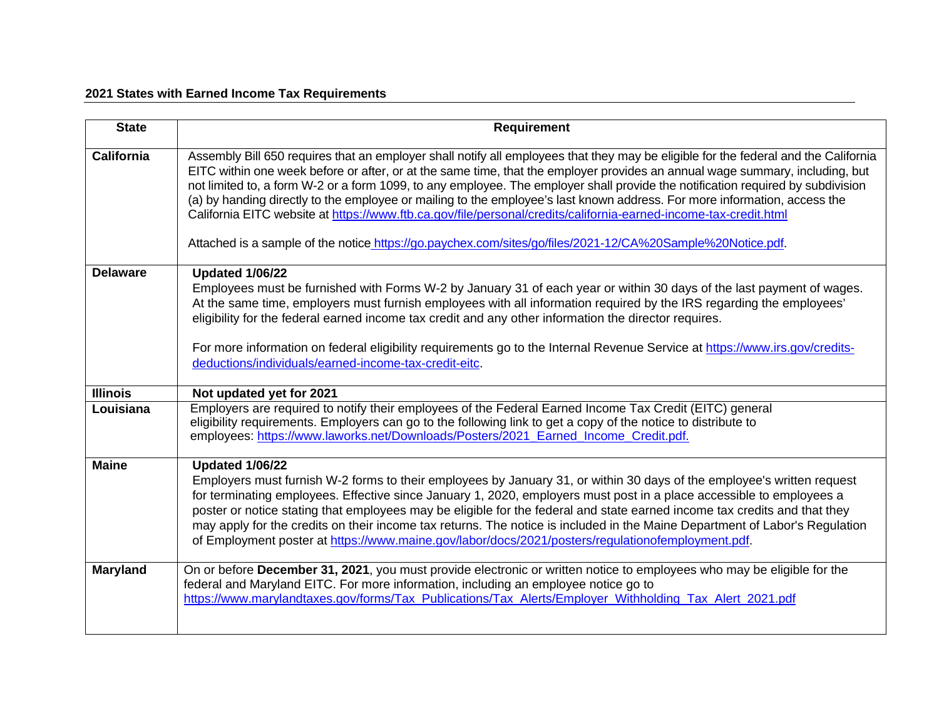## **2021 States with Earned Income Tax Requirements**

| <b>State</b>      | <b>Requirement</b>                                                                                                                                                                                                                                                                                                                                                                                                                                                                                                                                                                                                                                                                                                                                                    |
|-------------------|-----------------------------------------------------------------------------------------------------------------------------------------------------------------------------------------------------------------------------------------------------------------------------------------------------------------------------------------------------------------------------------------------------------------------------------------------------------------------------------------------------------------------------------------------------------------------------------------------------------------------------------------------------------------------------------------------------------------------------------------------------------------------|
| <b>California</b> | Assembly Bill 650 requires that an employer shall notify all employees that they may be eligible for the federal and the California<br>EITC within one week before or after, or at the same time, that the employer provides an annual wage summary, including, but<br>not limited to, a form W-2 or a form 1099, to any employee. The employer shall provide the notification required by subdivision<br>(a) by handing directly to the employee or mailing to the employee's last known address. For more information, access the<br>California EITC website at https://www.ftb.ca.gov/file/personal/credits/california-earned-income-tax-credit.html<br>Attached is a sample of the notice https://go.paychex.com/sites/go/files/2021-12/CA%20Sample%20Notice.pdf. |
| <b>Delaware</b>   | <b>Updated 1/06/22</b><br>Employees must be furnished with Forms W-2 by January 31 of each year or within 30 days of the last payment of wages.<br>At the same time, employers must furnish employees with all information required by the IRS regarding the employees'<br>eligibility for the federal earned income tax credit and any other information the director requires.<br>For more information on federal eligibility requirements go to the Internal Revenue Service at https://www.irs.gov/credits-<br>deductions/individuals/earned-income-tax-credit-eitc.                                                                                                                                                                                              |
| <b>Illinois</b>   | Not updated yet for 2021                                                                                                                                                                                                                                                                                                                                                                                                                                                                                                                                                                                                                                                                                                                                              |
| Louisiana         | Employers are required to notify their employees of the Federal Earned Income Tax Credit (EITC) general<br>eligibility requirements. Employers can go to the following link to get a copy of the notice to distribute to<br>employees: https://www.laworks.net/Downloads/Posters/2021_Earned_Income_Credit.pdf.                                                                                                                                                                                                                                                                                                                                                                                                                                                       |
| <b>Maine</b>      | <b>Updated 1/06/22</b><br>Employers must furnish W-2 forms to their employees by January 31, or within 30 days of the employee's written request<br>for terminating employees. Effective since January 1, 2020, employers must post in a place accessible to employees a<br>poster or notice stating that employees may be eligible for the federal and state earned income tax credits and that they<br>may apply for the credits on their income tax returns. The notice is included in the Maine Department of Labor's Regulation<br>of Employment poster at https://www.maine.gov/labor/docs/2021/posters/regulationofemployment.pdf.                                                                                                                             |
| <b>Maryland</b>   | On or before December 31, 2021, you must provide electronic or written notice to employees who may be eligible for the<br>federal and Maryland EITC. For more information, including an employee notice go to<br>https://www.marylandtaxes.gov/forms/Tax Publications/Tax Alerts/Employer Withholding Tax Alert 2021.pdf                                                                                                                                                                                                                                                                                                                                                                                                                                              |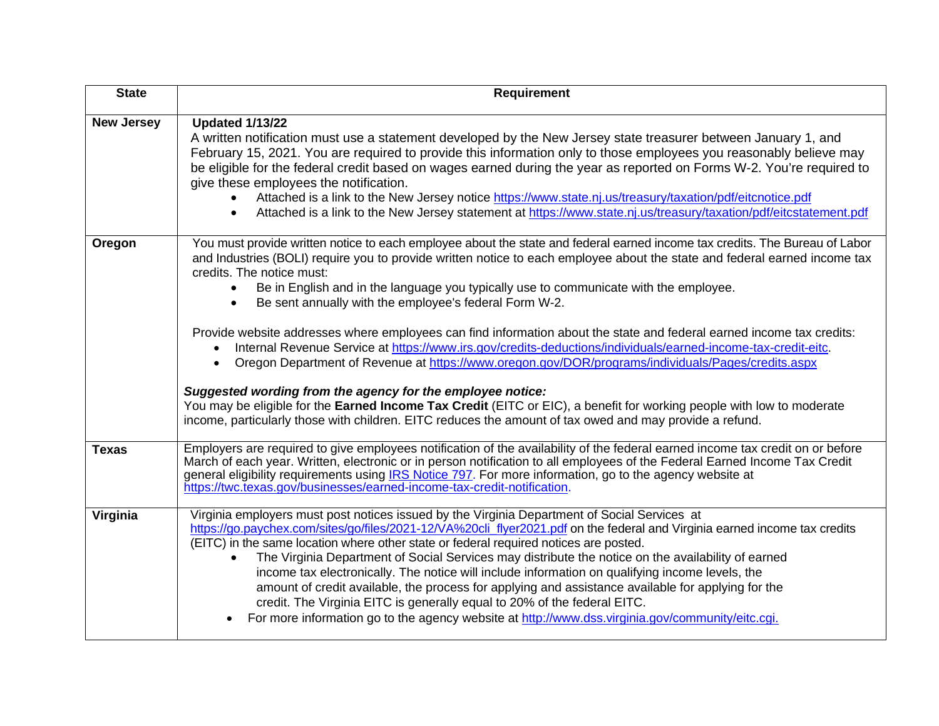| <b>State</b>      | <b>Requirement</b>                                                                                                                                                                                                                                                                                                                                                                                                                                                                                                                                                                                                                                                                                                                                                                                                                                                                                                                                                                                                                                                                                                                 |
|-------------------|------------------------------------------------------------------------------------------------------------------------------------------------------------------------------------------------------------------------------------------------------------------------------------------------------------------------------------------------------------------------------------------------------------------------------------------------------------------------------------------------------------------------------------------------------------------------------------------------------------------------------------------------------------------------------------------------------------------------------------------------------------------------------------------------------------------------------------------------------------------------------------------------------------------------------------------------------------------------------------------------------------------------------------------------------------------------------------------------------------------------------------|
| <b>New Jersey</b> | <b>Updated 1/13/22</b><br>A written notification must use a statement developed by the New Jersey state treasurer between January 1, and<br>February 15, 2021. You are required to provide this information only to those employees you reasonably believe may<br>be eligible for the federal credit based on wages earned during the year as reported on Forms W-2. You're required to<br>give these employees the notification.<br>Attached is a link to the New Jersey notice https://www.state.nj.us/treasury/taxation/pdf/eitcnotice.pdf<br>Attached is a link to the New Jersey statement at https://www.state.nj.us/treasury/taxation/pdf/eitcstatement.pdf<br>$\bullet$                                                                                                                                                                                                                                                                                                                                                                                                                                                    |
| Oregon            | You must provide written notice to each employee about the state and federal earned income tax credits. The Bureau of Labor<br>and Industries (BOLI) require you to provide written notice to each employee about the state and federal earned income tax<br>credits. The notice must:<br>Be in English and in the language you typically use to communicate with the employee.<br>$\bullet$<br>Be sent annually with the employee's federal Form W-2.<br>$\bullet$<br>Provide website addresses where employees can find information about the state and federal earned income tax credits:<br>Internal Revenue Service at https://www.irs.gov/credits-deductions/individuals/earned-income-tax-credit-eitc.<br>$\bullet$<br>Oregon Department of Revenue at https://www.oregon.gov/DOR/programs/individuals/Pages/credits.aspx<br>Suggested wording from the agency for the employee notice:<br>You may be eligible for the Earned Income Tax Credit (EITC or EIC), a benefit for working people with low to moderate<br>income, particularly those with children. EITC reduces the amount of tax owed and may provide a refund. |
| <b>Texas</b>      | Employers are required to give employees notification of the availability of the federal earned income tax credit on or before<br>March of each year. Written, electronic or in person notification to all employees of the Federal Earned Income Tax Credit<br>general eligibility requirements using IRS Notice 797. For more information, go to the agency website at<br>https://twc.texas.gov/businesses/earned-income-tax-credit-notification.                                                                                                                                                                                                                                                                                                                                                                                                                                                                                                                                                                                                                                                                                |
| Virginia          | Virginia employers must post notices issued by the Virginia Department of Social Services at<br>https://go.paychex.com/sites/go/files/2021-12/VA%20cli_flyer2021.pdf on the federal and Virginia earned income tax credits<br>(EITC) in the same location where other state or federal required notices are posted.<br>The Virginia Department of Social Services may distribute the notice on the availability of earned<br>income tax electronically. The notice will include information on qualifying income levels, the<br>amount of credit available, the process for applying and assistance available for applying for the<br>credit. The Virginia EITC is generally equal to 20% of the federal EITC.<br>For more information go to the agency website at http://www.dss.virginia.gov/community/eitc.cgi.                                                                                                                                                                                                                                                                                                                 |